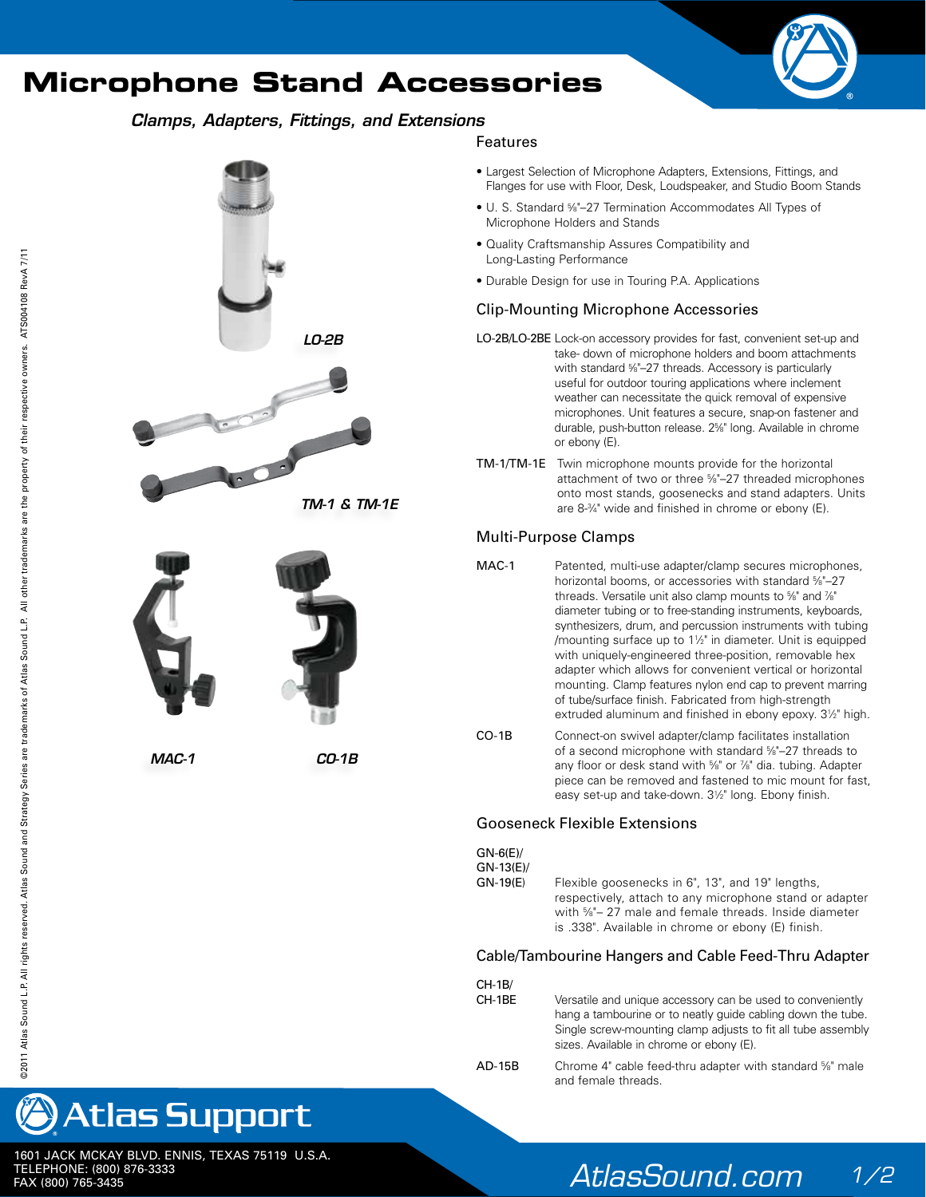# **Microphone Stand Accessories**



# *Clamps, Adapters, Fittings, and Extensions*



### Features

- Largest Selection of Microphone Adapters, Extensions, Fittings, and Flanges for use with Floor, Desk, Loudspeaker, and Studio Boom Stands
- U. S. Standard %"-27 Termination Accommodates All Types of Microphone Holders and Stands
- Quality Craftsmanship Assures Compatibility and Long-Lasting Performance
- Durable Design for use in Touring P.A. Applications

## Clip-Mounting Microphone Accessories

- LO-2B/LO-2BE Lock-on accessory provides for fast, convenient set-up and take- down of microphone holders and boom attachments with standard %"-27 threads. Accessory is particularly useful for outdoor touring applications where inclement weather can necessitate the quick removal of expensive microphones. Unit features a secure, snap-on fastener and durable, push-button release. 25 ⁄8" long. Available in chrome or ebony (E).
- TM-1/TM-1E Twin microphone mounts provide for the horizontal attachment of two or three 5 ⁄8"–27 threaded microphones onto most stands, goosenecks and stand adapters. Units are 8-3 ⁄4" wide and finished in chrome or ebony (E).

# Multi-Purpose Clamps

- MAC-1 Patented, multi-use adapter/clamp secures microphones, horizontal booms, or accessories with standard %"-27 threads. Versatile unit also clamp mounts to %" and %" diameter tubing or to free-standing instruments, keyboards, synthesizers, drum, and percussion instruments with tubing /mounting surface up to 11 ⁄2" in diameter. Unit is equipped with uniquely-engineered three-position, removable hex adapter which allows for convenient vertical or horizontal mounting. Clamp features nylon end cap to prevent marring of tube/surface finish. Fabricated from high-strength extruded aluminum and finished in ebony epoxy.  $3\frac{1}{2}$ " high.
- CO-1B Connect-on swivel adapter/clamp facilitates installation of a second microphone with standard 5 ⁄8"–27 threads to any floor or desk stand with %" or %" dia. tubing. Adapter piece can be removed and fastened to mic mount for fast, easy set-up and take-down. 31/2" long. Ebony finish.

#### Gooseneck Flexible Extensions

| $GN-6(E)$  | Flexible goosenecks in 6", 13", and 19" lengths,        |
|------------|---------------------------------------------------------|
| $GN-13(E)$ | respectively, attach to any microphone stand or adapter |
| $GN-19(E)$ | with %"- 27 male and female threads. Inside diameter    |
|            | is .338". Available in chrome or ebony (E) finish.      |

#### Cable/Tambourine Hangers and Cable Feed-Thru Adapter

| CH-1B/<br>CH-1BE | Versatile and unique accessory can be used to conveniently<br>hang a tambourine or to neatly quide cabling down the tube.<br>Single screw-mounting clamp adjusts to fit all tube assembly<br>sizes. Available in chrome or ebony (E). |
|------------------|---------------------------------------------------------------------------------------------------------------------------------------------------------------------------------------------------------------------------------------|
| AD-15B           | Chrome 4" cable feed-thru adapter with standard %" male<br>and female threads.                                                                                                                                                        |





1601 JACK MCKAY BLVD. ENNIS, TEXAS 75119 U.S.A. TELEPHONE: (800) 876-3333